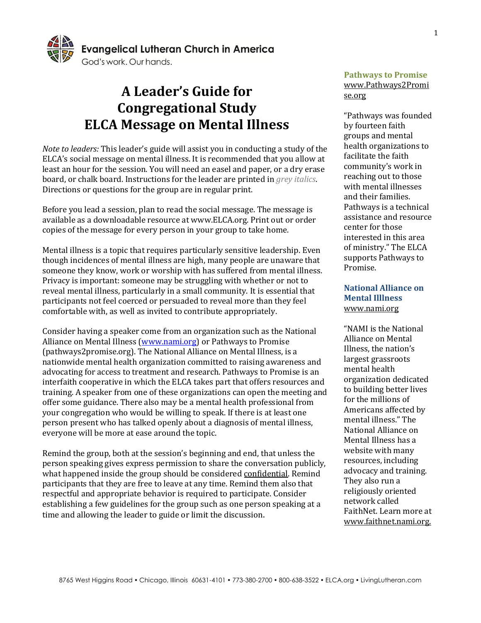

# **A Leader's Guide for Congregational Study ELCA Message on Mental Illness**

*Note to leaders:* This leader's guide will assist you in conducting a study of the ELCA's social message on mental illness. It is recommended that you allow at least an hour for the session. You will need an easel and paper, or a dry erase board, or chalk board. Instructions for the leader are printed in *grey italics*. Directions or questions for the group are in regular print.

Before you lead a session, plan to read the social message. The message is available as a downloadable resource at www.ELCA.org. Print out or order copies of the message for every person in your group to take home.

Mental illness is a topic that requires particularly sensitive leadership. Even though incidences of mental illness are high, many people are unaware that someone they know, work or worship with has suffered from mental illness. Privacy is important: someone may be struggling with whether or not to reveal mental illness, particularly in a small community. It is essential that participants not feel coerced or persuaded to reveal more than they feel comfortable with, as well as invited to contribute appropriately.

Consider having a speaker come from an organization such as the National Alliance on Mental Illness [\(www.nami.org\)](http://www.nami.org/) or Pathways to Promise (pathways2promise.org). The National Alliance on Mental Illness, is a nationwide mental health organization committed to raising awareness and advocating for access to treatment and research. Pathways to Promise is an interfaith cooperative in which the ELCA takes part that offers resources and training. A speaker from one of these organizations can open the meeting and offer some guidance. There also may be a mental health professional from your congregation who would be willing to speak. If there is at least one person present who has talked openly about a diagnosis of mental illness, everyone will be more at ease around the topic.

Remind the group, both at the session's beginning and end, that unless the person speaking gives express permission to share the conversation publicly, what happened inside the group should be considered confidential. Remind participants that they are free to leave at any time. Remind them also that respectful and appropriate behavior is required to participate. Consider establishing a few guidelines for the group such as one person speaking at a time and allowing the leader to guide or limit the discussion.

#### **Pathways to Promise**  www.Pathways2Promi se.org

"Pathways was founded by fourteen faith groups and mental health organizations to facilitate the faith community's work in reaching out to those with mental illnesses and their families. Pathways is a technical assistance and resource center for those interested in this area of ministry." The ELCA supports Pathways to Promise.

#### **National Alliance on Mental Illlness** www.nami.org

"NAMI is the National Alliance on Mental Illness, the nation's largest grassroots mental health organization dedicated to building better lives for the millions of Americans affected by mental illness." The National Alliance on Mental Illness has a website with many resources, including advocacy and training. They also run a religiously oriented network called FaithNet. Learn more at www.faithnet.nami.org.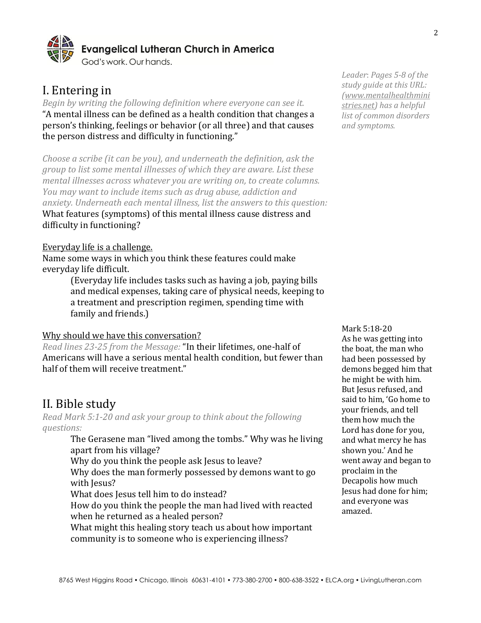

## I. Entering in

*Begin by writing the following definition where everyone can see it.* "A mental illness can be defined as a health condition that changes a person's thinking, feelings or behavior (or all three) and that causes the person distress and difficulty in functioning."

*Choose a scribe (it can be you), and underneath the definition, ask the group to list some mental illnesses of which they are aware. List these mental illnesses across whatever you are writing on, to create columns. You may want to include items such as drug abuse, addiction and anxiety. Underneath each mental illness, list the answers to this question:* What features (symptoms) of this mental illness cause distress and difficulty in functioning?

#### Everyday life is a challenge.

Name some ways in which you think these features could make everyday life difficult.

> (Everyday life includes tasks such as having a job, paying bills and medical expenses, taking care of physical needs, keeping to a treatment and prescription regimen, spending time with family and friends.)

#### Why should we have this conversation?

*Read lines 23-25 from the Message:* "In their lifetimes, one-half of Americans will have a serious mental health condition, but fewer than half of them will receive treatment."

### II. Bible study

*Read Mark 5:1-20 and ask your group to think about the following questions:*

> The Gerasene man "lived among the tombs." Why was he living apart from his village?

Why do you think the people ask Jesus to leave?

Why does the man formerly possessed by demons want to go with Jesus?

What does Jesus tell him to do instead?

How do you think the people the man had lived with reacted when he returned as a healed person?

What might this healing story teach us about how important community is to someone who is experiencing illness?

*Leader*: *Pages 5-8 of the study guide at this URL: [\(www.mentalhealthmini](http://www.mentalhealthministries.net/links_resources/study_guide/mental_illness_study_guide.pdf) [stries.net\)](http://www.mentalhealthministries.net/links_resources/study_guide/mental_illness_study_guide.pdf) has a helpful list of common disorders and symptoms.*

Mark 5:18-20 As he was getting into the boat, the man who had been possessed by demons begged him that he might be with him. But Jesus refused, and said to him, 'Go home to your friends, and tell them how much the Lord has done for you, and what mercy he has shown you.' And he went away and began to proclaim in the Decapolis how much Jesus had done for him; and everyone was amazed.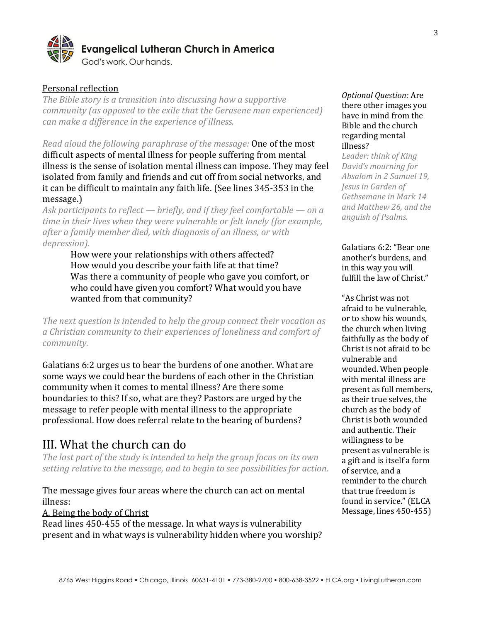

#### Personal reflection

*The Bible story is a transition into discussing how a supportive community (as opposed to the exile that the Gerasene man experienced) can make a difference in the experience of illness.*

*Read aloud the following paraphrase of the message:* One of the most difficult aspects of mental illness for people suffering from mental illness is the sense of isolation mental illness can impose. They may feel isolated from family and friends and cut off from social networks, and it can be difficult to maintain any faith life. (See lines 345-353 in the message.)

*Ask participants to reflect — briefly, and if they feel comfortable — on a time in their lives when they were vulnerable or felt lonely (for example, after a family member died, with diagnosis of an illness, or with depression).*

How were your relationships with others affected? How would you describe your faith life at that time? Was there a community of people who gave you comfort, or who could have given you comfort? What would you have wanted from that community?

*The next question is intended to help the group connect their vocation as a Christian community to their experiences of loneliness and comfort of community.*

Galatians 6:2 urges us to bear the burdens of one another. What are some ways we could bear the burdens of each other in the Christian community when it comes to mental illness? Are there some boundaries to this? If so, what are they? Pastors are urged by the message to refer people with mental illness to the appropriate professional. How does referral relate to the bearing of burdens?

## III. What the church can do

*The last part of the study is intended to help the group focus on its own setting relative to the message, and to begin to see possibilities for action*.

#### The message gives four areas where the church can act on mental illness:

A. Being the body of Christ

Read lines 450-455 of the message. In what ways is vulnerability present and in what ways is vulnerability hidden where you worship?

#### *Optional Question:* Are there other images you have in mind from the Bible and the church regarding mental illness?

*Leader: think of King David's mourning for Absalom in 2 Samuel 19, Jesus in Garden of Gethsemane in Mark 14 and Matthew 26, and the anguish of Psalms.* 

Galatians 6:2: "Bear one another's burdens, and in this way you will fulfill the law of Christ."

"As Christ was not afraid to be vulnerable, or to show his wounds, the church when living faithfully as the body of Christ is not afraid to be vulnerable and wounded. When people with mental illness are present as full members, as their true selves, the church as the body of Christ is both wounded and authentic. Their willingness to be present as vulnerable is a gift and is itself a form of service, and a reminder to the church that true freedom is found in service." (ELCA Message, lines 450-455)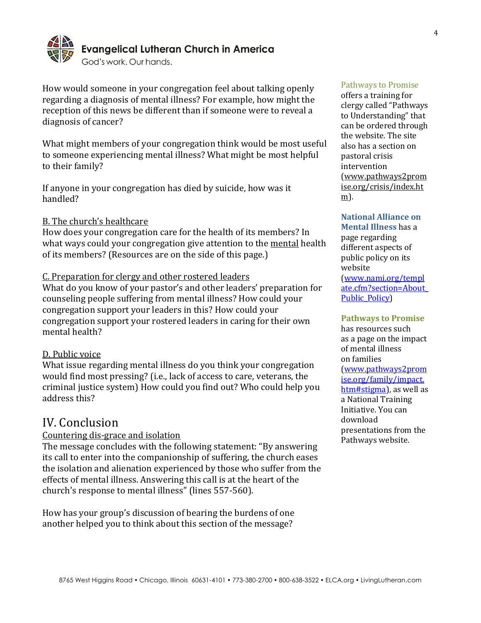

How would someone in your congregation feel about talking openly regarding a diagnosis of mental illness? For example, how might the reception of this news be different than if someone were to reveal a diagnosis of cancer?

What might members of your congregation think would be most useful to someone experiencing mental illness? What might be most helpful to their family?

If anyone in your congregation has died by suicide, how was it handled?

#### B. The church's healthcare

How does your congregation care for the health of its members? In what ways could your congregation give attention to the mental health of its members? (Resources are on the side of this page.)

#### C. Preparation for clergy and other rostered leaders

What do you know of your pastor's and other leaders' preparation for counseling people suffering from mental illness? How could your congregation support your leaders in this? How could your congregation support your rostered leaders in caring for their own mental health?

#### D. Public voice

What issue regarding mental illness do you think your congregation would find most pressing? (i.e., lack of access to care, veterans, the criminal justice system) How could you find out? Who could help you address this?

### IV. Conclusion

#### Countering dis-grace and isolation

The message concludes with the following statement: "By answering its call to enter into the companionship of suffering, the church eases the isolation and alienation experienced by those who suffer from the effects of mental illness. Answering this call is at the heart of the church's response to mental illness" (lines 557-560).

How has your group's discussion of bearing the burdens of one another helped you to think about this section of the message?

#### Pathways to Promise

offers a training for clergy called "Pathways to Understanding" that can be ordered through the website. The site also has a section on pastoral crisis intervention (www.pathways2prom ise.org/crisis/index.ht m).

#### **National Alliance on**

**Mental Illness** has a page regarding different aspects of public policy on its website [\(www.nami.org/templ](file:///C:/Users/Connie_Sletto/AppData/Local/Microsoft/Windows/Temporary%20Internet%20Files/Content.Outlook/0K478B04/www.nami.org/template.cfm%3fsection=About_Public_Policy) [ate.cfm?section=About\\_](file:///C:/Users/Connie_Sletto/AppData/Local/Microsoft/Windows/Temporary%20Internet%20Files/Content.Outlook/0K478B04/www.nami.org/template.cfm%3fsection=About_Public_Policy) Public Policy)

#### **Pathways to Promise**

has resources such as a page on the impact of mental illness on families [\(www.pathways2prom](file:///C:/Users/Connie_Sletto/AppData/Local/Microsoft/Windows/Temporary%20Internet%20Files/Content.Outlook/0K478B04/www.pathways2promise.org/family/impact.htm) [ise.org/family/impact.](file:///C:/Users/Connie_Sletto/AppData/Local/Microsoft/Windows/Temporary%20Internet%20Files/Content.Outlook/0K478B04/www.pathways2promise.org/family/impact.htm) [htm#stigma\)](file:///C:/Users/Connie_Sletto/AppData/Local/Microsoft/Windows/Temporary%20Internet%20Files/Content.Outlook/0K478B04/www.pathways2promise.org/family/impact.htm), as well as a National Training Initiative. You can download presentations from the Pathways website.